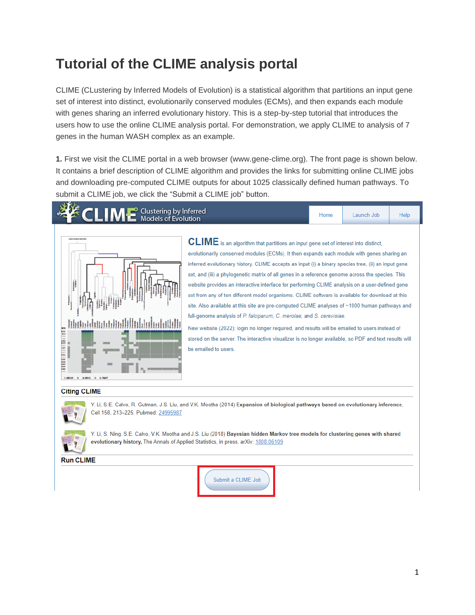## **Tutorial of the CLIME analysis portal**

CLIME (CLustering by Inferred Models of Evolution) is a statistical algorithm that partitions an input gene set of interest into distinct, evolutionarily conserved modules (ECMs), and then expands each module with genes sharing an inferred evolutionary history. This is a step-by-step tutorial that introduces the users how to use the online CLIME analysis portal. For demonstration, we apply CLIME to analysis of 7 genes in the human WASH complex as an example.

**1.** First we visit the CLIME portal in a web browser (www.gene-clime.org). The front page is shown below. It contains a brief description of CLIME algorithm and provides the links for submitting online CLIME jobs and downloading pre-computed CLIME outputs for about 1025 classically defined human pathways. To submit a CLIME job, we click the "Submit a CLIME job" button.

## Clustering by Inferred **Models of Evolution**



 $\tt CLME$  is an algorithm that partitions an input gene set of interest into distinct, evolutionarily conserved modules (ECMs). It then expands each module with genes sharing an inferred evolutionary history. CLIME accepts as input (i) a binary species tree, (ii) an input gene set, and (iii) a phylogenetic matrix of all genes in a reference genome across the species. This website provides an interactive interface for performing CLIME analysis on a user-defined gene set from any of ten different model organisms. CLIME software is available for download at this site. Also available at this site are pre-computed CLIME analyses of ~1000 human pathways and full-genome analysis of P. falciparum, C. merolae, and S. cerevisiae.

Home

Launch Job

Help

New website (2022): login no longer required, and results will be emailed to users instead of stored on the server. The interactive visualizer is no longer available, so PDF and text results will be emailed to users.

## **Citing CLIME**



Y. Li, S.E. Calvo, R. Gutman, J.S. Liu, and V.K. Mootha (2014) Expansion of biological pathways based on evolutionary inference, Cell 158, 213-225. Pubmed: 24995987



Y. Li, S. Ning, S.E. Calvo, V.K. Mootha and J.S. Liu (2018) Bayesian hidden Markov tree models for clustering genes with shared evolutionary history, The Annals of Applied Statistics, in press. arXiv: 1808.06109

**Run CLIME** 

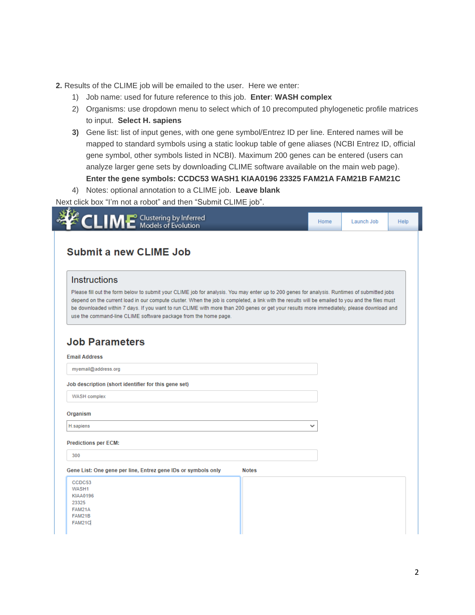- **2.** Results of the CLIME job will be emailed to the user. Here we enter:
	- 1) Job name: used for future reference to this job. **Enter**: **WASH complex**
	- 2) Organisms: use dropdown menu to select which of 10 precomputed phylogenetic profile matrices to input. **Select H. sapiens**
	- **3)** Gene list: list of input genes, with one gene symbol/Entrez ID per line. Entered names will be mapped to standard symbols using a static lookup table of gene aliases (NCBI Entrez ID, official gene symbol, other symbols listed in NCBI). Maximum 200 genes can be entered (users can analyze larger gene sets by downloading CLIME software available on the main web page). **Enter the gene symbols: CCDC53 WASH1 KIAA0196 23325 FAM21A FAM21B FAM21C**

4) Notes: optional annotation to a CLIME job. **Leave blank**

Next click box "I'm not a robot" and then "Submit CLIME job".

| ECLIME Clustering by Inferred                                                                                                                                                                                                                                                                                                                                                                                                                                                                                  | Home | Launch Job | Help |
|----------------------------------------------------------------------------------------------------------------------------------------------------------------------------------------------------------------------------------------------------------------------------------------------------------------------------------------------------------------------------------------------------------------------------------------------------------------------------------------------------------------|------|------------|------|
| <b>Submit a new CLIME Job</b>                                                                                                                                                                                                                                                                                                                                                                                                                                                                                  |      |            |      |
| <b>Instructions</b>                                                                                                                                                                                                                                                                                                                                                                                                                                                                                            |      |            |      |
| Please fill out the form below to submit your CLIME job for analysis. You may enter up to 200 genes for analysis. Runtimes of submitted jobs<br>depend on the current load in our compute cluster. When the job is completed, a link with the results will be emailed to you and the files must<br>be downloaded within 7 days. If you want to run CLIME with more than 200 genes or get your results more immediately, please download and<br>use the command-line CLIME software package from the home page. |      |            |      |
| <b>Job Parameters</b>                                                                                                                                                                                                                                                                                                                                                                                                                                                                                          |      |            |      |
| <b>Email Address</b>                                                                                                                                                                                                                                                                                                                                                                                                                                                                                           |      |            |      |
| myemail@address.org                                                                                                                                                                                                                                                                                                                                                                                                                                                                                            |      |            |      |
| Job description (short identifier for this gene set)                                                                                                                                                                                                                                                                                                                                                                                                                                                           |      |            |      |
| WASH complex                                                                                                                                                                                                                                                                                                                                                                                                                                                                                                   |      |            |      |
| Organism                                                                                                                                                                                                                                                                                                                                                                                                                                                                                                       |      |            |      |
|                                                                                                                                                                                                                                                                                                                                                                                                                                                                                                                | v    |            |      |
| H.sapiens                                                                                                                                                                                                                                                                                                                                                                                                                                                                                                      |      |            |      |
| <b>Predictions per ECM:</b>                                                                                                                                                                                                                                                                                                                                                                                                                                                                                    |      |            |      |
| 300                                                                                                                                                                                                                                                                                                                                                                                                                                                                                                            |      |            |      |
| Gene List: One gene per line, Entrez gene IDs or symbols only<br><b>Notes</b>                                                                                                                                                                                                                                                                                                                                                                                                                                  |      |            |      |
| CCDC53<br>WASH1<br><b>KIAA0196</b><br>23325<br>FAM21A<br>FAM21B<br>FAM21C                                                                                                                                                                                                                                                                                                                                                                                                                                      |      |            |      |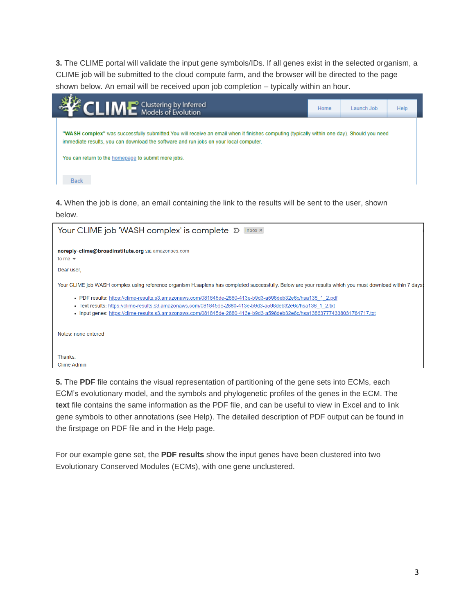**3.** The CLIME portal will validate the input gene symbols/IDs. If all genes exist in the selected organism, a CLIME job will be submitted to the cloud compute farm, and the browser will be directed to the page shown below. An email will be received upon job completion – typically within an hour.

| <b>CLIME</b> Clustering by Inferred                                                                                                                                                                                                                                                                        | Home | Launch Job | Help |
|------------------------------------------------------------------------------------------------------------------------------------------------------------------------------------------------------------------------------------------------------------------------------------------------------------|------|------------|------|
| "WASH complex" was successfully submitted. You will receive an email when it finishes computing (typically within one day). Should you need<br>immediate results, you can download the software and run jobs on your local computer.<br>You can return to the homepage to submit more jobs.<br><b>Back</b> |      |            |      |

**4.** When the job is done, an email containing the link to the results will be sent to the user, shown below.



**5.** The **PDF** file contains the visual representation of partitioning of the gene sets into ECMs, each ECM's evolutionary model, and the symbols and phylogenetic profiles of the genes in the ECM. The **text** file contains the same information as the PDF file, and can be useful to view in Excel and to link gene symbols to other annotations (see Help). The detailed description of PDF output can be found in the firstpage on PDF file and in the Help page.

For our example gene set, the **PDF results** show the input genes have been clustered into two Evolutionary Conserved Modules (ECMs), with one gene unclustered.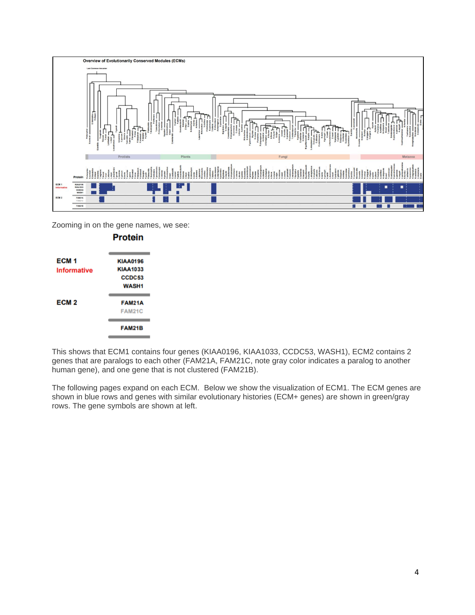

Zooming in on the gene names, we see:

| ECM <sub>1</sub>   | <b>KIAA0196</b> |
|--------------------|-----------------|
| <b>Informative</b> | <b>KIAA1033</b> |
|                    | CCDC53          |
|                    | <b>WASH1</b>    |
| ECM <sub>2</sub>   | <b>FAM21A</b>   |
|                    | <b>FAM21C</b>   |
|                    | <b>FAM21B</b>   |
|                    |                 |

**Protein** 

This shows that ECM1 contains four genes (KIAA0196, KIAA1033, CCDC53, WASH1), ECM2 contains 2 genes that are paralogs to each other (FAM21A, FAM21C, note gray color indicates a paralog to another human gene), and one gene that is not clustered (FAM21B).

The following pages expand on each ECM. Below we show the visualization of ECM1. The ECM genes are shown in blue rows and genes with similar evolutionary histories (ECM+ genes) are shown in green/gray rows. The gene symbols are shown at left.